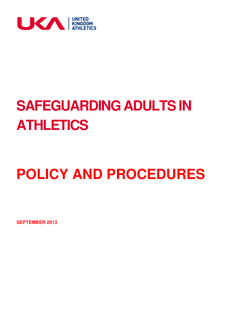

# **SAFEGUARDING ADULTS IN ATHLETICS**

# **POLICY AND PROCEDURES**

**SEPTEMBER 2013**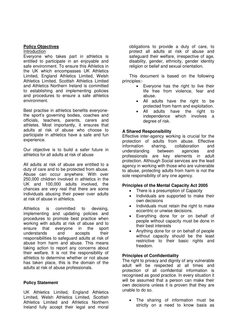## **Policy Objectives**

#### Introduction

Everyone who takes part in athletics is entitled to participate in an enjoyable and safe environment. To ensure this Athletics in the UK which encompasses UK Athletics Limited, England Athletics Limited, Welsh Athletics Limited, Scottish Athletics Limited and Athletics Northern Ireland is committed to establishing and implementing policies and procedures to ensure a safe athletics environment.

Best practise in athletics benefits everyonethe sport's governing bodies, coaches and officials, teachers, parents, carers and athletes. Most importantly, it ensures that adults at risk of abuse who choose to participate in athletics have a safe and fun experience.

Our objective is to build a safer future in athletics for all adults at risk of abuse

All adults at risk of abuse are entitled to a duty of care and to be protected from abuse. Abuse can occur anywhere. With over 250,000 children involved in athletics in the UK and 100,000 adults involved, the chances are very real that there are some individuals abusing their power over adults at risk of abuse in athletics.

Athletics is committed to devising, implementing and updating policies and procedures to promote best practice when working with adults at risk of abuse and to ensure that everyone in the sport understands and accepts their responsibilities to safeguard adults at risk of abuse from harm and abuse. This means taking action to report any concerns about their welfare. It is not the responsibility of athletics to determine whether or not abuse has taken place, this is the domain of the adults at risk of abuse professionals.

## **Policy Statement**

UK Athletics Limited, England Athletics Limited, Welsh Athletics Limited, Scottish Athletics Limited and Athletics Northern Ireland fully accept their legal and moral obligations to provide a duty of care, to protect all adults at risk of abuse and safeguard their welfare, irrespective of age, disability, gender, ethnicity, gender identity religion or belief and sexual orientation.

This document is based on the following principles:-

- Everyone has the right to live their life free from violence, fear and abuse.
- All adults have the right to be protected from harm and exploitation.
- All adults have the right to independence which involves a degree of risk.

## **A Shared Responsibility**

Effective inter-agency working is crucial for the protection of adults from abuse. Effective information sharing, collaboration and understanding between agencies and professionals are key elements in adult protection. Although Social services are the lead agency in working with those who are vulnerable to abuse, protecting adults from harm is not the sole responsibility of any one agency.

## **Principles of the Mental Capacity Act 2005**

- There is a presumption of Capacity
- Individuals are supported to make their own decisions
- Individuals must retain the right to make eccentric or unwise decisions.
- Everything done for or on behalf of people without capacity must be done in their best interests
- Anything done for or on behalf of people without capacity should be the least restrictive to their basic rights and freedom.

## **Principles of Confidentiality**

The right to privacy and dignity of any vulnerable adult will be respected at all times and protection of all confidential information is recognised as good practice. In every situation it will be assumed that a person can make their own decisions unless it is proven that they are unable to do so.

 The sharing of information must be strictly on a need to know basis as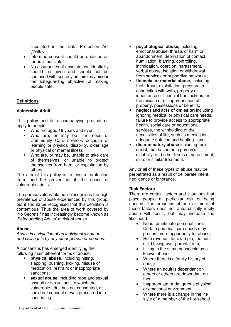stipulated in the Data Protection Act (1998).

- Informed consent should be obtained as far as is possible
- No assurances of absolute confidentiality should be given and should not be confused with secrecy as this may hinder the safeguarding objective of making people safe.

## **Definitions**

## **Vulnerable Adult**

This policy and its accompanying procedures apply to people-

- **Who are aged 18 years and over:**
- Who are, or may be , in need of Community Care services because of learning or physical disability, older age or physical or mental illness
- **Who are, or may be, unable to take care** of themselves, or unable to protect themselves from harm or exploitation by others.

The aim of this policy is to ensure protection from, and the prevention of, the abuse of vulnerable adults.

The phrase vulnerable adult recognises the high prevalence of abuse experienced by this group, but it should be recognised that this definition is contentious. Thus the area of work covered by 'No Secrets'<sup>1</sup> has increasingly become known as 'Safeguarding Adults' at risk of abuse.

## **Abuse**

*Abuse is a violation of an individual's human and civil rights by any other person or persons*.

A consensus has emerged identifying the following main different forms of abuse:

- **physical abuse**, including hitting, slapping, pushing, kicking, misuse of medication, restraint or inappropriate sanctions;
- **sexual abuse,** including rape and sexual assault or sexual acts to which the vulnerable adult has not consented, or could not consent or was pressured into consenting;
- **psychological abuse,** including emotional abuse, threats of harm or abandonment, deprivation of contact, humiliation, blaming, controlling, intimidation, coercion, harassment, verbal abuse, isolation or withdrawal from services or supportive networks';
- **financial or material abuse,** including theft, fraud, exploitation, pressure in connection with wills, property or inheritance or financial transactions, or the misuse or misappropriation of property, possessions or benefits;
- **neglect and acts of omission** including ignoring medical or physical care needs, failure to provide access to appropriate health, social care or educational services, the withholding of the necessities of life, such as medication, adequate nutrition and heating ; and
- **discriminatory abuse** including racist, sexist, that based on a person's disability, and other forms of harassment, slurs or similar treatment.

Any or all of these types of abuse may be perpetrated as a result of deliberate intent, negligence or ignorance.

## **Risk Factors**

There are certain factors and situations that place people at particular risk of being abused. The presence of one or more of these factors does not automatically imply abuse will result, but may increase the likelihood:

- Need for intimate personal care. Certain personal care needs may present more opportunity for abuse;
- Role reversal, for example, the adult child taking over parental role;
- Living in the same household as a known abuser
- Where there is a family history of abuse
- Where an adult is dependant on others or others are dependant on them
- Inappropriate or dangerous physical or emotional environment;
- Where there is a change in the life style of a member of the household

 $\overline{a}$ <sup>1</sup> Department of Health guidance document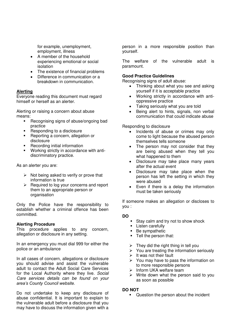for example, unemployment, employment, illness

- A member of the household experiencing emotional or social isolation
- The existence of financial problems
- Difference in communication or a breakdown in communication.

## **Alerting**

Everyone reading this document must regard himself or herself as an alerter.

Alerting or raising a concern about abuse means:

- Recognising signs of abuse/ongoing bad practice
- Responding to a disclosure
- Reporting a concern, allegation or disclosure
- Recording initial information
- Working strictly in accordance with antidiscriminatory practice.

As an alerter you are:

- $\triangleright$  Not being asked to verify or prove that information is true
- $\triangleright$  Required to log your concerns and report them to an appropriate person or organisation

Only the Police have the responsibility to establish whether a criminal offence has been committed.

## **Alerting Procedure**

This procedure applies to any concern, allegation or disclosure in any setting.

In an emergency you must dial 999 for either the police or an ambulance

In all cases of concern, allegations or disclosure you should advise and assist the vulnerable adult to contact the Adult Social Care Services for the Local Authority where they live. *Social Care services details can be found on your area's County Council website.*

Do not undertake to keep any disclosure of abuse confidential. It is important to explain to the vulnerable adult before a disclosure that you may have to discuss the information given with a

person in a more responsible position than yourself.

The welfare of the vulnerable adult is paramount.

## **Good Practice Guidelines**

Recognising signs of adult abuse:

- Thinking about what you see and asking yourself if it is acceptable practice
- Working strictly in accordance with antioppressive practice
- Taking seriously what you are told
- Being alert to hints, signals, non verbal communication that could indicate abuse

Responding to disclosure

- Incidents of abuse or crimes may only come to light because the abused person themselves tells someone
- The person may not consider that they are being abused when they tell you what happened to them
- Disclosure may take place many years after the actual event
- Disclosure may take place when the person has left the setting in which they were abused
- Even if there is a delay the information must be taken seriously

If someone makes an allegation or discloses to you :

## **DO**

- Stay calm and try not to show shock
- **E** Listen carefully
- Be sympathetic
- **Tell the person that:**
- $\triangleright$  They did the right thing in tell you
- $\triangleright$  You are treating the information seriously
- $\triangleright$  It was not their fault
- $\triangleright$  You may have to pass the information on to more responsible persons
- $\triangleright$  Inform UKA welfare team
- $\triangleright$  Write down what the person said to you as soon as possible

## **DO NOT**

Question the person about the incident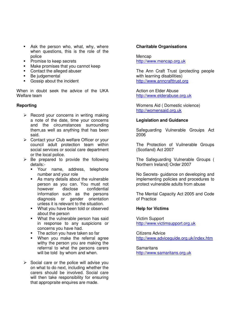- **Ask the person who, what, why, where** when questions, this is the role of the police
- Promise to keep secrets
- **Make promises that you cannot keep**
- Contact the alleged abuser
- Be judgemental
- Gossip about the incident

When in doubt seek the advice of the UKA Welfare team

## **Reporting**

- $\triangleright$  Record your concerns in writing making a note of the date, time your concerns and the circumstances surrounding them,as well as anything that has been said.
- ▶ Contact your Club welfare Officer or your council adult protection team within social services or social care department or the local police.
- $\triangleright$  Be prepared to provide the following details:-
	- Your name, address, telephone number and your role
	- As many details about the vulnerable person as you can. You must not however disclose confidential information such as the persons diagnosis or gender orientation unless it is relevant to the situation.
	- **What you have been told or observed** about the person
	- **What the vulnerable person has said** in response to any suspicions or concerns you have had.
	- The action you have taken so far
	- When you make the referral agree withy the person you are making the referrral to what the persons carers will be told by whom and when.
- $\triangleright$  Social care or the police will advise you on what to do next, including whether the carers should be involved. Social care will then take responsibility for ensuring that appropraite enquires are made.

## **Charitable Organisations**

Mencap [http://www.mencap.org.uk](http://www.mencap.org.uk/)

The Ann Craft Trust (protecting people with learning disabilities) [http://www.anncrafttrust.org](http://www.anncrafttrust.org/)

Action on Elder Abuse [http://www.elderabuse.org.uk](http://www.elderabuse.org.uk/)

Womens Aid ( Domestic violence) [http://womensaid.org.uk](http://womensaid.org.uk/)

#### **Legislation and Guidance**

Safeguarding Vulnerable Grouips Act 2006

The Protection of Vuilnerable Groups (Scotland) Act 2007

The Safeguarding Vulnerable Groups ( Northern Ireland) Order 2007

No Secrets- guidance on developing and implementing policies and procedures to protect vulnerable adults from abuse

The Mental Capacity Act 2005 and Code of Practice

#### **Help for Victims**

Victim Support [http://www.victimsupport.org.uk](http://www.victimsupport.org.uk/)

Citizens Advice <http://www.adviceguide.org.uk/index.htm>

**Samaritans** [http://www.samaritans.org.uk](http://www.samaritans.org.uk/)